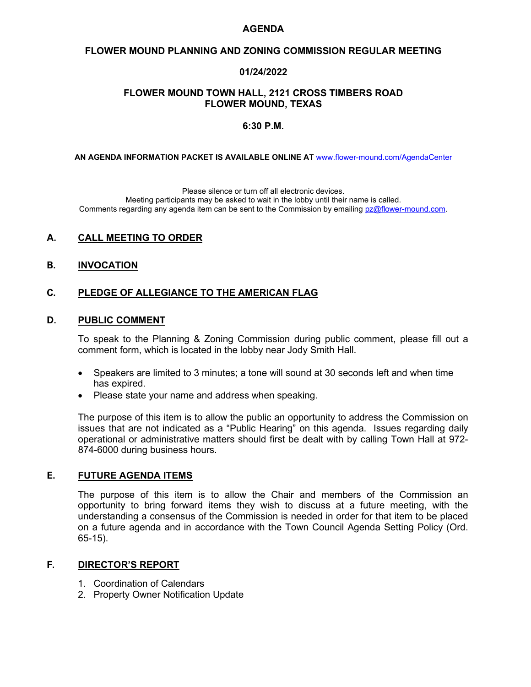## **AGENDA**

## **FLOWER MOUND PLANNING AND ZONING COMMISSION REGULAR MEETING**

## **01/24/2022**

## **FLOWER MOUND TOWN HALL, 2121 CROSS TIMBERS ROAD FLOWER MOUND, TEXAS**

#### **6:30 P.M.**

**AN AGENDA INFORMATION PACKET IS AVAILABLE ONLINE AT** [www.flower-mound.com/AgendaCenter](http://www.flower-mound.com/AgendaCenter)

Please silence or turn off all electronic devices.

Meeting participants may be asked to wait in the lobby until their name is called. Comments regarding any agenda item can be sent to the Commission by emailing [pz@flower-mound.com.](mailto:pz@flower-mound.com)

## **A. CALL MEETING TO ORDER**

**B. INVOCATION**

# **C. PLEDGE OF ALLEGIANCE TO THE AMERICAN FLAG**

## **D. PUBLIC COMMENT**

To speak to the Planning & Zoning Commission during public comment, please fill out a comment form, which is located in the lobby near Jody Smith Hall.

- Speakers are limited to 3 minutes; a tone will sound at 30 seconds left and when time has expired.
- Please state your name and address when speaking.

The purpose of this item is to allow the public an opportunity to address the Commission on issues that are not indicated as a "Public Hearing" on this agenda. Issues regarding daily operational or administrative matters should first be dealt with by calling Town Hall at 972- 874-6000 during business hours.

## **E. FUTURE AGENDA ITEMS**

The purpose of this item is to allow the Chair and members of the Commission an opportunity to bring forward items they wish to discuss at a future meeting, with the understanding a consensus of the Commission is needed in order for that item to be placed on a future agenda and in accordance with the Town Council Agenda Setting Policy (Ord. 65-15).

## **F. DIRECTOR'S REPORT**

- 1. Coordination of Calendars
- 2. Property Owner Notification Update